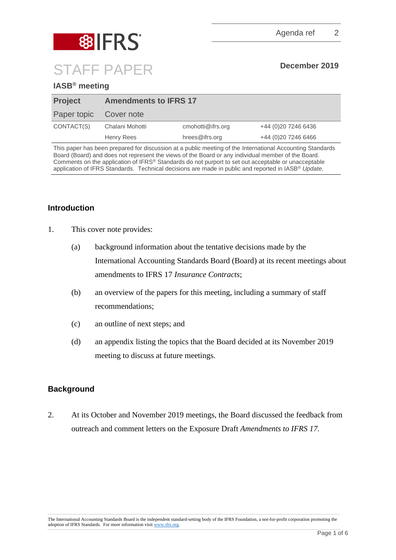

# **IASB® meeting**

| <b>Project</b> | <b>Amendments to IFRS 17</b> |                   |                      |
|----------------|------------------------------|-------------------|----------------------|
| Paper topic    | Cover note                   |                   |                      |
| CONTACT(S)     | Chalani Mohotti              | cmohotti@ifrs.org | +44 (0) 20 7246 6436 |
|                | Henry Rees                   | hrees@ifrs.org    | +44 (0) 20 7246 6466 |

This paper has been prepared for discussion at a public meeting of the International Accounting Standards Board (Board) and does not represent the views of the Board or any individual member of the Board. Comments on the application of IFRS® Standards do not purport to set out acceptable or unacceptable application of IFRS Standards. Technical decisions are made in public and reported in IASB® *Update*.

# **Introduction**

- 1. This cover note provides:
	- (a) background information about the tentative decisions made by the International Accounting Standards Board (Board) at its recent meetings about amendments to IFRS 17 *Insurance Contracts*;
	- (b) an overview of the papers for this meeting, including a summary of staff recommendations;
	- (c) an outline of next steps; and
	- (d) an appendix listing the topics that the Board decided at its November 2019 meeting to discuss at future meetings.

## **Background**

2. At its October and November 2019 meetings, the Board discussed the feedback from outreach and comment letters on the Exposure Draft *Amendments to IFRS 17.*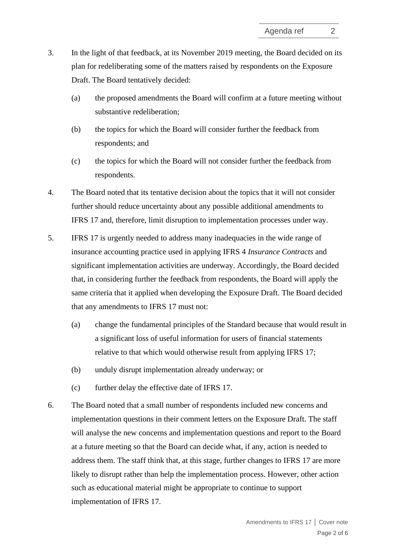- 3. In the light of that feedback, at its November 2019 meeting, the Board decided on its plan for redeliberating some of the matters raised by respondents on the Exposure Draft. The Board tentatively decided:
	- (a) the proposed amendments the Board will confirm at a future meeting without substantive redeliberation;
	- (b) the topics for which the Board will consider further the feedback from respondents; and
	- (c) the topics for which the Board will not consider further the feedback from respondents.
- 4. The Board noted that its tentative decision about the topics that it will not consider further should reduce uncertainty about any possible additional amendments to IFRS 17 and, therefore, limit disruption to implementation processes under way.
- 5. IFRS 17 is urgently needed to address many inadequacies in the wide range of insurance accounting practice used in applying IFRS 4 *Insurance Contracts* and significant implementation activities are underway. Accordingly, the Board decided that, in considering further the feedback from respondents, the Board will apply the same criteria that it applied when developing the Exposure Draft. The Board decided that any amendments to IFRS 17 must not:
	- (a) change the fundamental principles of the Standard because that would result in a significant loss of useful information for users of financial statements relative to that which would otherwise result from applying IFRS 17;
	- (b) unduly disrupt implementation already underway; or
	- (c) further delay the effective date of IFRS 17.
- 6. The Board noted that a small number of respondents included new concerns and implementation questions in their comment letters on the Exposure Draft. The staff will analyse the new concerns and implementation questions and report to the Board at a future meeting so that the Board can decide what, if any, action is needed to address them. The staff think that, at this stage, further changes to IFRS 17 are more likely to disrupt rather than help the implementation process. However, other action such as educational material might be appropriate to continue to support implementation of IFRS 17.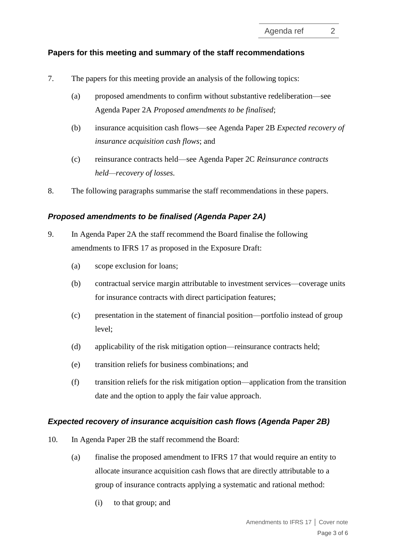# **Papers for this meeting and summary of the staff recommendations**

- 7. The papers for this meeting provide an analysis of the following topics:
	- (a) proposed amendments to confirm without substantive redeliberation—see Agenda Paper 2A *Proposed amendments to be finalised*;
	- (b) insurance acquisition cash flows—see Agenda Paper 2B *Expected recovery of insurance acquisition cash flows*; and
	- (c) reinsurance contracts held—see Agenda Paper 2C *Reinsurance contracts held—recovery of losses.*
- 8. The following paragraphs summarise the staff recommendations in these papers.

### *Proposed amendments to be finalised (Agenda Paper 2A)*

- 9. In Agenda Paper 2A the staff recommend the Board finalise the following amendments to IFRS 17 as proposed in the Exposure Draft:
	- (a) scope exclusion for loans;
	- (b) contractual service margin attributable to investment services—coverage units for insurance contracts with direct participation features;
	- (c) presentation in the statement of financial position—portfolio instead of group level;
	- (d) applicability of the risk mitigation option—reinsurance contracts held;
	- (e) transition reliefs for business combinations; and
	- (f) transition reliefs for the risk mitigation option—application from the transition date and the option to apply the fair value approach.

#### *Expected recovery of insurance acquisition cash flows (Agenda Paper 2B)*

- 10. In Agenda Paper 2B the staff recommend the Board:
	- (a) finalise the proposed amendment to IFRS 17 that would require an entity to allocate insurance acquisition cash flows that are directly attributable to a group of insurance contracts applying a systematic and rational method:
		- (i) to that group; and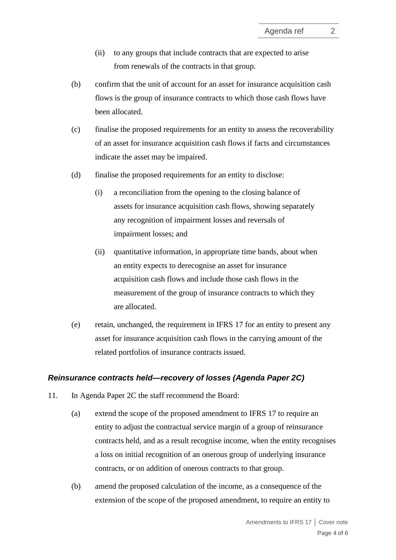- (ii) to any groups that include contracts that are expected to arise from renewals of the contracts in that group.
- (b) confirm that the unit of account for an asset for insurance acquisition cash flows is the group of insurance contracts to which those cash flows have been allocated.
- (c) finalise the proposed requirements for an entity to assess the recoverability of an asset for insurance acquisition cash flows if facts and circumstances indicate the asset may be impaired.
- (d) finalise the proposed requirements for an entity to disclose:
	- (i) a reconciliation from the opening to the closing balance of assets for insurance acquisition cash flows, showing separately any recognition of impairment losses and reversals of impairment losses; and
	- (ii) quantitative information, in appropriate time bands, about when an entity expects to derecognise an asset for insurance acquisition cash flows and include those cash flows in the measurement of the group of insurance contracts to which they are allocated.
- (e) retain, unchanged, the requirement in IFRS 17 for an entity to present any asset for insurance acquisition cash flows in the carrying amount of the related portfolios of insurance contracts issued.

### *Reinsurance contracts held—recovery of losses (Agenda Paper 2C)*

- <span id="page-3-0"></span>11. In Agenda Paper 2C the staff recommend the Board:
	- (a) extend the scope of the proposed amendment to IFRS 17 to require an entity to adjust the contractual service margin of a group of reinsurance contracts held, and as a result recognise income, when the entity recognises a loss on initial recognition of an onerous group of underlying insurance contracts, or on addition of onerous contracts to that group.
	- (b) amend the proposed calculation of the income, as a consequence of the extension of the scope of the proposed amendment, to require an entity to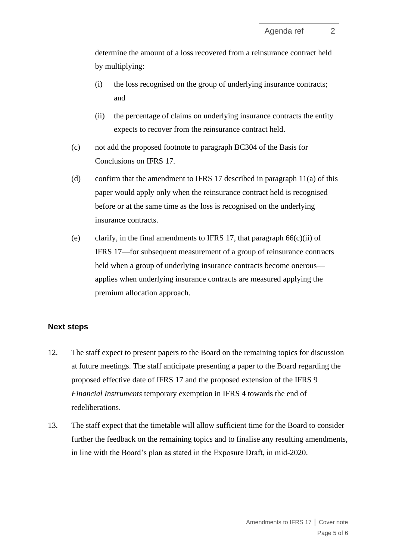determine the amount of a loss recovered from a reinsurance contract held by multiplying:

- (i) the loss recognised on the group of underlying insurance contracts; and
- (ii) the percentage of claims on underlying insurance contracts the entity expects to recover from the reinsurance contract held.
- (c) not add the proposed footnote to paragraph BC304 of the Basis for Conclusions on IFRS 17.
- (d) confirm that the amendment to IFRS 17 described in paragraph [11\(](#page-3-0)a) of this paper would apply only when the reinsurance contract held is recognised before or at the same time as the loss is recognised on the underlying insurance contracts.
- (e) clarify, in the final amendments to IFRS 17, that paragraph  $66(c)(ii)$  of IFRS 17—for subsequent measurement of a group of reinsurance contracts held when a group of underlying insurance contracts become onerous applies when underlying insurance contracts are measured applying the premium allocation approach.

#### **Next steps**

- 12. The staff expect to present papers to the Board on the remaining topics for discussion at future meetings. The staff anticipate presenting a paper to the Board regarding the proposed effective date of IFRS 17 and the proposed extension of the IFRS 9 *Financial Instruments* temporary exemption in IFRS 4 towards the end of redeliberations.
- 13. The staff expect that the timetable will allow sufficient time for the Board to consider further the feedback on the remaining topics and to finalise any resulting amendments, in line with the Board's plan as stated in the Exposure Draft, in mid-2020.